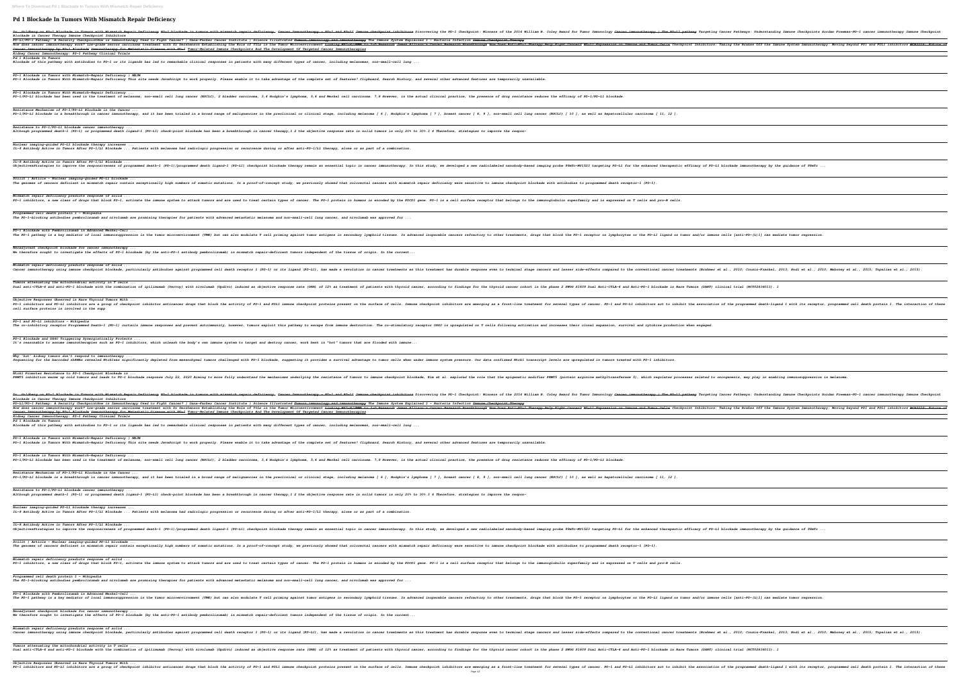| here Ph-1 Blockade in Tumors with Mismatch Repair Deficiency PD-1 blockade in tumors with mismatch in tumors with mismatch repair deficiency. Cancer Immunotherapy - PD-1 and PD-1 mmunotherapy - PD-1 and PD-1 and PD-1 and P<br>Blockade in Cancer Therapy Immune Checkpoint Inhibitors                                                                                                                                                                                                                                                                                                                                                                                                                                                                                                                                                                                                                                                                                                                                                                                                                                                                                                                                                            |
|------------------------------------------------------------------------------------------------------------------------------------------------------------------------------------------------------------------------------------------------------------------------------------------------------------------------------------------------------------------------------------------------------------------------------------------------------------------------------------------------------------------------------------------------------------------------------------------------------------------------------------------------------------------------------------------------------------------------------------------------------------------------------------------------------------------------------------------------------------------------------------------------------------------------------------------------------------------------------------------------------------------------------------------------------------------------------------------------------------------------------------------------------------------------------------------------------------------------------------------------------|
| PD-L1/PD-1 Pathway: A Security CheckpointHow is Immunotherapy Used to Fight Cancer?   Dana-Farber Cancer Institute   Science Illustrated <del>Tumour immunotherapy</del> The Immune System Explained I - Bacteria Infection <del>Immune Che</del><br>How does cancer immunotherapy work? Low-grade serous carcinoma treatment with Dr Gershenson Establishing the Brakes off the Immune System Immune System Immunotherapy: Moving beyond PD1 and PD11 inhibitors WCP2018: Future o                                                                                                                                                                                                                                                                                                                                                                                                                                                                                                                                                                                                                                                                                                                                                                  |
| Cancer Immunotherapy by PD-1 Blockade Immunotherapy for Metastatic Disease with PD-1 Tumor-Related Immune Checkpoints And The Development Of Targeted Cancer Immunotherapies<br>Kidney Cancer Immunotherapy: PD-1 Pathway Clinical Trials<br>Pd 1 Blockade In Tumors<br>Blockade of this pathway with antibodies to PD-1 or its ligands has led to remarkable clinical responses in patients with many different types of cancer, including melanomas, non-small-cell lung                                                                                                                                                                                                                                                                                                                                                                                                                                                                                                                                                                                                                                                                                                                                                                           |
| PD-1 Blockade in Tumors with Mismatch-Repair Deficiency   NEJM<br>PD-1 Blockade in Tumors With Mismatch-Repair Deficiency This site needs JavaScript to work properly. Please enable it to take advantage of the complete set of features! Clipboard, Search History, and several other advanced                                                                                                                                                                                                                                                                                                                                                                                                                                                                                                                                                                                                                                                                                                                                                                                                                                                                                                                                                     |
| PD-1 Blockade in Tumors With Mismatch-Repair Deficiency<br>PD-1/PD-L1 blockade has been used in the treatment of melanoma, non-small cell lung cancer (NSCLC), 2 bladder carcinoma, 3,4 Hodgkin's lymphoma, 5,6 and Merkel cell carcinoma. 7,8 However, in the actual clinical practice,                                                                                                                                                                                                                                                                                                                                                                                                                                                                                                                                                                                                                                                                                                                                                                                                                                                                                                                                                             |
| Resistance Mechanism of PD-1/PD-L1 Blockade in the Cancer<br>PD-1/PD-L1 blockade is a breakthrough in cancer immunotherapy, and it has been trialed in a broad range of malignancies in the preclinical or clinical stage, including melanoma [ 8, 9 ], non-small cell lung cancer (NSCLC)                                                                                                                                                                                                                                                                                                                                                                                                                                                                                                                                                                                                                                                                                                                                                                                                                                                                                                                                                           |
| Resistance to PD-1/PD-L1 blockade cancer immunotherapy<br>Although programmed death-1 (PD-1) or programmed death ligand-1 (PD-L1) check-point blockade has been a breakthrough in cancer therapy, 1 2 the objective response rate in solid tumors is only 20% to 30%.3 4 Therefore, stra                                                                                                                                                                                                                                                                                                                                                                                                                                                                                                                                                                                                                                                                                                                                                                                                                                                                                                                                                             |
| Nuclear imaging-guided PD-L1 blockade therapy increases<br>IL-8 Antibody Active in Tumors After PD-1/L1 Blockade  Patients with melanoma had radiologic progression or recurrence during or after anti-PD-1/L1 therapy, alone or as part of a combination.                                                                                                                                                                                                                                                                                                                                                                                                                                                                                                                                                                                                                                                                                                                                                                                                                                                                                                                                                                                           |
| IL-8 Antibody Active in Tumors After PD-1/L1 Blockade.<br>ObjectivesStrategies to improve the responsiveness of programmed death-1 (PD-1)/programmed death ligand-1 (PD-1)/programmed death ligand-1 (PD-11) checkpoint blockade therapy remain an essential topic in cancer immunothera                                                                                                                                                                                                                                                                                                                                                                                                                                                                                                                                                                                                                                                                                                                                                                                                                                                                                                                                                             |
| Scilit   Article - Nuclear imaging-guided PD-L1 blockade .<br>The genomes of cancers deficient in mismatch repair contain exceptionally high numbers of somatic mutations. In a proof-of-concept study, we previously showed that colorectal cancers with mismatch repair deficiency were se                                                                                                                                                                                                                                                                                                                                                                                                                                                                                                                                                                                                                                                                                                                                                                                                                                                                                                                                                         |
| Mismatch repair deficiency predicts response of solid<br>PD-1 inhibitors, a new class of drugs that block PD-1, activate the immune system to attack tumors and are used to treat certain types of cancer. The PD-1 protein in humans is encoded by the PDCD1 gene. PD-1 protein in hum                                                                                                                                                                                                                                                                                                                                                                                                                                                                                                                                                                                                                                                                                                                                                                                                                                                                                                                                                              |
| Programmed cell death protein 1 - Wikipedia<br>The PD-1-blocking antibodies pembrolizumab and nivolumab are promising therapies for patients with advanced metastatic melanoma and non-small-cell lung cancer, and nivolumab was approved for                                                                                                                                                                                                                                                                                                                                                                                                                                                                                                                                                                                                                                                                                                                                                                                                                                                                                                                                                                                                        |
| PD-1 Blockade with Pembrolizumab in Advanced Merkel-Cell.<br>The PD-1 pathway is a key mediator of local immunosuppression in the tumor microenvironment (TME) but can also modulate T cell priming against tumor and/or immune cells [anti-PD-(L)1] can mediate tumor regression. The PD-1                                                                                                                                                                                                                                                                                                                                                                                                                                                                                                                                                                                                                                                                                                                                                                                                                                                                                                                                                          |
| Neoadjuvant checkpoint blockade for cancer immunotherapy.<br>We therefore sought to investigate the effects of PD-1 blockade (by the anti-PD-1 antibody pembrolizumab) in mismatch repair-deficient tumors independent of the tissue of origin. In the current                                                                                                                                                                                                                                                                                                                                                                                                                                                                                                                                                                                                                                                                                                                                                                                                                                                                                                                                                                                       |
| Mismatch repair deficiency predicts response of solid<br>Cancer immunotherapy using immune checkpoint blockade, particularly antibodies against programmed cell death receptor 1 (PD-1) or its ligand (PD-1), has made a revolution in cancer treatments as this treatment has durable                                                                                                                                                                                                                                                                                                                                                                                                                                                                                                                                                                                                                                                                                                                                                                                                                                                                                                                                                               |
| Tumors attenuating the mitochondrial activity in T cells<br>Orghim by whill mumab (Yervoy) with the compination of ipilimumab (Yervoy) with nivolumab (Opdivo) induced an objective response rate (ORR) of 12% as treatment of patients with thyroid cancer, according to findings for the                                                                                                                                                                                                                                                                                                                                                                                                                                                                                                                                                                                                                                                                                                                                                                                                                                                                                                                                                           |
| Objective Responses Observed in Rare Thyroid Tumors With .<br>PD-1 inhibitors and PD-L1 inhibitors are a group of checkpoint inhibitor anticancer drugs that block the activity of PD-1 and PD-L1 inhibitors act to inhibitors act to inhibitors are emerging as a front-line treatment for<br>cell surface proteins is involved in the supp                                                                                                                                                                                                                                                                                                                                                                                                                                                                                                                                                                                                                                                                                                                                                                                                                                                                                                         |
| PD-1 and PD-L1 inhibitors - Wikipedia<br>The co-inhibitory receptor Programmed Death-1 (PD-1) curtails immune responses and prevent autoimmunity, however, tumors exploit this pathway to escape from immune destruction. The co-stimulatory receptor OX40 is upregulat                                                                                                                                                                                                                                                                                                                                                                                                                                                                                                                                                                                                                                                                                                                                                                                                                                                                                                                                                                              |
| PD-1 Blockade and OX40 Triggering Synergistically Protects<br>It's reasonable to assume immunotherapies such as PD-1 inhibitors, which unleash the body's own immune system to target and destroy cancer, work best in "hot" tumors that are flooded with immune                                                                                                                                                                                                                                                                                                                                                                                                                                                                                                                                                                                                                                                                                                                                                                                                                                                                                                                                                                                     |
| Why 'hot' kidney tumors don't respond to immunotherapy<br>Sequencing for the barcoded shRNAs revealed Ntrklwas significantly depleted from mesenchymal tumors challenged with PD-1 blockade, suggesting it provides a survival advantage to tumor cells when under immune system pressur                                                                                                                                                                                                                                                                                                                                                                                                                                                                                                                                                                                                                                                                                                                                                                                                                                                                                                                                                             |
| Ntrk1 Promotes Resistance to PD-1 Checkpoint Blockade in<br>1994. 2020 Aiming to mors and leads to PD-1 blockade response July 22, 2020 Aiming to more fully understand the mechanisms underlying the resistance of tumors to immune checkpoint blockade, Kim et al. explored the regulate                                                                                                                                                                                                                                                                                                                                                                                                                                                                                                                                                                                                                                                                                                                                                                                                                                                                                                                                                           |
| the Ph-1 Blockade in Tumors with Mismatch Repair Deficiency PD-1 blockade in tumors with mismatch repair deficiency. Cancer Immunotherapy - PD-1 and PD-1 and PD-1 and PD-1 and PD-1 and PD-1 cancer Immunotherapy - PD-1 and<br>Blockade in Cancer Therapy Immune Checkpoint Inhibitors<br>PD-L1/PD-1 Pathway: A Security CheckpointHow is Immunotherapy Used to Fight Cancer?   Dana-Farber Cancer Institute   Science Illustrated Tumour immunotherapy The Immune System Explained I - Bacteria Infection <del>Immune Check</del><br>the Research Breakens on Establishing the Role of Tils in the Tumor Microenvironment Breakthrough How Does Anti-PD-1 Therapy Help Fight Cancer? PD-L1 Expression on Immune and Tumor Cells Checkpoint Inhibitors: Taking the B<br>Cancer Immunotherapy by PD-1 Blockade Immunotherapy for Metastatic Disease with PD-1 Tumor-Related Immune Checkpoints And The Development Of Targeted Cancer Immunotherapies<br>Kidney Cancer Immunotherapy: PD-1 Pathway Clinical Trials<br>Pd 1 Blockade In Tumors<br>Blockade of this pathway with antibodies to PD-1 or its ligands has led to remarkable clinical responses in patients with many different types of cancer, including melanomas, non-small-cell lung |
| PD-1 Blockade in Tumors with Mismatch-Repair Deficiency   NEJM<br>PD-1 Blockade in Tumors With Mismatch-Repair Deficiency This site needs JavaScript to work properly. Please enable it to take advantage of the complete set of features! Clipboard, Search History, and several other advanced                                                                                                                                                                                                                                                                                                                                                                                                                                                                                                                                                                                                                                                                                                                                                                                                                                                                                                                                                     |
| PD-1 Blockade in Tumors With Mismatch-Repair Deficiency<br>PD-1/PD-L1 blockade has been used in the treatment of melanoma, non-small cell lung cancer (NSCLC), 2 bladder carcinoma, 3,4 Hodgkin's lymphoma, 5,6 and Merkel cell carcinoma. 7,8 However, in the actual clinical practice,                                                                                                                                                                                                                                                                                                                                                                                                                                                                                                                                                                                                                                                                                                                                                                                                                                                                                                                                                             |
| Resistance Mechanism of PD-1/PD-L1 Blockade in the Cancer.<br>PD-1/PD-L1 blockade is a breakthrough in cancer immunotherapy, and it has been trialed in a broad range of malignancies in the preclinical or clinical stage, including melanoma [ 8, 9 ], non-small cell lung cancer (NSCLC)                                                                                                                                                                                                                                                                                                                                                                                                                                                                                                                                                                                                                                                                                                                                                                                                                                                                                                                                                          |
| Resistance to PD-1/PD-L1 blockade cancer immunotherapy<br>Although programmed death-1 (PD-1) or programmed death ligand-1 (PD-L1) check-point blockade has been a breakthrough in cancer therapy, 1 2 the objective response rate in solid tumors is only 20% to 30%.3 4 Therefore, stra                                                                                                                                                                                                                                                                                                                                                                                                                                                                                                                                                                                                                                                                                                                                                                                                                                                                                                                                                             |
| Nuclear imaging-guided PD-L1 blockade therapy increases<br>IL-8 Antibody Active in Tumors After PD-1/L1 Blockade  Patients with melanoma had radiologic progression or recurrence during or after anti-PD-1/L1 therapy, alone or as part of a combination.                                                                                                                                                                                                                                                                                                                                                                                                                                                                                                                                                                                                                                                                                                                                                                                                                                                                                                                                                                                           |
| IL-8 Antibody Active in Tumors After PD-1/L1 Blockade.<br>ObjectivesStrategies to improve the responsiveness of programmed death-1 (PD-1)/programmed death-1 (PD-1)/programmed death ligand-1 (PD-11) checkpoint blockade therapy remain an essential topic in cancer immunotherapy. In                                                                                                                                                                                                                                                                                                                                                                                                                                                                                                                                                                                                                                                                                                                                                                                                                                                                                                                                                              |
| Scilit   Article - Nuclear imaging-guided PD-L1 blockade .<br>The genomes of cancers deficient in mismatch repair contain exceptionally high numbers of somatic mutations. In a proof-of-concept study, we previously showed that colorectal cancers with mismatch repair deficiency were se                                                                                                                                                                                                                                                                                                                                                                                                                                                                                                                                                                                                                                                                                                                                                                                                                                                                                                                                                         |
| Mismatch repair deficiency predicts response of solid<br>PD-1 inhibitors, a new class of drugs that block PD-1, activate the immune system to attack tumors and are used to treat certain types of cancer. The PD-1 protein in humans is encoded by the PDCD1 gene. PD-1 protein in hum                                                                                                                                                                                                                                                                                                                                                                                                                                                                                                                                                                                                                                                                                                                                                                                                                                                                                                                                                              |
| Programmed cell death protein 1 - Wikipedia<br>The PD-1-blocking antibodies pembrolizumab and nivolumab are promising therapies for patients with advanced metastatic melanoma and non-small-cell lung cancer, and nivolumab was approved for                                                                                                                                                                                                                                                                                                                                                                                                                                                                                                                                                                                                                                                                                                                                                                                                                                                                                                                                                                                                        |
| PD-1 Blockade with Pembrolizumab in Advanced Merkel-Cell.<br>The PD-1 pathway is a key mediator of local immunosuppression in the tumor microenvironment (TME) but can also modulate T cell priming against tumor and/or immune cells [anti-PD-(L)1] can mediate tumor regression. The PD-1                                                                                                                                                                                                                                                                                                                                                                                                                                                                                                                                                                                                                                                                                                                                                                                                                                                                                                                                                          |
| Neoadjuvant checkpoint blockade for cancer immunotherapy<br>We therefore sought to investigate the effects of PD-1 blockade (by the anti-PD-1 antibody pembrolizumab) in mismatch repair-deficient tumors independent of the tissue of origin. In the current                                                                                                                                                                                                                                                                                                                                                                                                                                                                                                                                                                                                                                                                                                                                                                                                                                                                                                                                                                                        |
| Mismatch repair deficiency predicts response of solid<br>Cancer immunotherapy using immune checkpoint blockade, particularly antibodies against programmed cell death receptor 1 (PD-1) or its ligand (PD-1), has made a revolution in cancer treatments as this treatment has durable                                                                                                                                                                                                                                                                                                                                                                                                                                                                                                                                                                                                                                                                                                                                                                                                                                                                                                                                                               |
| Tumors attenuating the mitochondrial activity in T cells<br>(Opdivo) with nivolumab (Opdivo)) undercy and anti-PD-1 blockade with the combination of ipilimumab (Yervoy) with nivolumab (Opdivo) induced an objective response rate (ORR) of 12% as treatment of patients with thyroid can                                                                                                                                                                                                                                                                                                                                                                                                                                                                                                                                                                                                                                                                                                                                                                                                                                                                                                                                                           |
| Objective Responses Observed in Rare Thyroid Tumors With<br>PD-1 inhibitors and PD-L1 inhibitors are a group of checkpoint inhibitor anticancer drugs that block the activity of PD-1 and PD-L1 inhibitors act to inhibitors act to inhibitors act to inhibit the association of the progr<br>Page 1/2                                                                                                                                                                                                                                                                                                                                                                                                                                                                                                                                                                                                                                                                                                                                                                                                                                                                                                                                               |

|                             | anding Immune Checkpoints Gordan Freeman-PD-1 cancer immunotherapy Immune Checkpoint                    |  |  |  |  |
|-----------------------------|---------------------------------------------------------------------------------------------------------|--|--|--|--|
|                             | <b>Immune System Immunotherapy: Moving beyond PD1 and PDL1 inhibitors <del>WCP2018: Future of</del></b> |  |  |  |  |
|                             |                                                                                                         |  |  |  |  |
|                             |                                                                                                         |  |  |  |  |
|                             |                                                                                                         |  |  |  |  |
|                             |                                                                                                         |  |  |  |  |
|                             |                                                                                                         |  |  |  |  |
|                             |                                                                                                         |  |  |  |  |
|                             |                                                                                                         |  |  |  |  |
| by the guidance of 99mTc    |                                                                                                         |  |  |  |  |
|                             |                                                                                                         |  |  |  |  |
|                             |                                                                                                         |  |  |  |  |
|                             |                                                                                                         |  |  |  |  |
|                             |                                                                                                         |  |  |  |  |
| n mediate tumor regression. |                                                                                                         |  |  |  |  |
|                             |                                                                                                         |  |  |  |  |
|                             | kel, 2013; Hodi et al., 2010; Mahoney et al., 2015; Topalian et al., 2015).                             |  |  |  |  |
| 3) . 1                      |                                                                                                         |  |  |  |  |
|                             | -ligand 1 with its receptor, programmed cell death protein 1. The interaction of these                  |  |  |  |  |
|                             |                                                                                                         |  |  |  |  |
|                             |                                                                                                         |  |  |  |  |
|                             |                                                                                                         |  |  |  |  |
|                             |                                                                                                         |  |  |  |  |
|                             | enabling immunosuppression in melanoma.                                                                 |  |  |  |  |
|                             | anding Immune Checkpoints Gordan Freeman-PD-1 cancer immunotherapy Immune Checkpoint                    |  |  |  |  |
|                             | Immune System Immunotherapy: Moving beyond PD1 and PDL1 inhibitors <del>WCP2018: Future of</del>        |  |  |  |  |
|                             |                                                                                                         |  |  |  |  |
|                             |                                                                                                         |  |  |  |  |
|                             |                                                                                                         |  |  |  |  |
|                             |                                                                                                         |  |  |  |  |
|                             |                                                                                                         |  |  |  |  |
|                             |                                                                                                         |  |  |  |  |
|                             |                                                                                                         |  |  |  |  |
| by the guidance of 99mTc    |                                                                                                         |  |  |  |  |
|                             |                                                                                                         |  |  |  |  |
|                             |                                                                                                         |  |  |  |  |
|                             |                                                                                                         |  |  |  |  |
|                             |                                                                                                         |  |  |  |  |
| n mediate tumor regression. |                                                                                                         |  |  |  |  |
|                             |                                                                                                         |  |  |  |  |
|                             | kel, 2013; Hodi et al., 2010; Mahoney et al., 2015; Topalian et al., 2015).                             |  |  |  |  |
|                             |                                                                                                         |  |  |  |  |
| 3). 1                       |                                                                                                         |  |  |  |  |

**Where To Download Pd 1 Blockade In Tumors With Mismatch Repair Deficiency Pd 1 Blockade In Tumors With Mismatch Repair Deficiency** Dr. Goldberg on PD-1 Blockade in Tumors with Mismatch Repair Deficiency PD-1 blockade in tumors with mismatch repair def *Blockade in Cancer Therapy Immune Checkpoint Inhibitors* PD-L1/PD-1 Pathway: A Security CheckpointHow is Immunotherapy Used to Fight Cancer? | Dana-Farber Cancer Institute | Sc. How does cancer immunotherapy work? Low-grade serous carcinoma treatment with Dr Gershenson Establishing the Role of TII Cancer Immunotherapy by PD-1 Blockade Immunotherapy for Metastatic Disease with PD-1 Tumor-Related Immune Checkpoints An *Kidney Cancer Immunotherapy: PD-1 Pathway Clinical Trials Pd 1 Blockade In Tumors* Blockade of this pathway with antibodies to PD-1 or its ligands has led to remarkable clinical responses in patients with *PD-1 Blockade in Tumors with Mismatch-Repair Deficiency | NEJM* PD-1 Blockade in Tumors With Mismatch-Repair Deficiency This site needs JavaScript to work properly. Please enable it to *PD-1 Blockade in Tumors With Mismatch-Repair Deficiency ...* PD-1/PD-L1 blockade has been used in the treatment of melanoma, non-small cell lung cancer (NSCLC), 2 bladder carcinoma *Resistance Mechanism of PD-1/PD-L1 Blockade in the Cancer ...* PD-1/PD-L1 blockade is a breakthrough in cancer immunotherapy, and it has been trialed in a broad range of malignancies *Resistance to PD-1/PD-L1 blockade cancer immunotherapy ...* Although programmed death-1 (PD-1) or programmed death ligand-1 (PD-L1) check-point blockade has been a breakthrough in *Nuclear imaging-guided PD-L1 blockade therapy increases ...* IL-8 Antibody Active in Tumors After PD-1/L1 Blockade ... Patients with melanoma had radiologic progression or recurrend *IL-8 Antibody Active in Tumors After PD-1/L1 Blockade ...* ObjectivesStrategies to improve the responsiveness of programmed death-1 (PD-1)/programmed death ligand-1 (PD-L1) checkp *Scilit | Article - Nuclear imaging-guided PD-L1 blockade ...* The genomes of cancers deficient in mismatch repair contain exceptionally high numbers of somatic mutations. In a proof *Mismatch repair deficiency predicts response of solid ...* PD-1 inhibitors, a new class of drugs that block PD-1, activate the immune system to attack tumors and are used to treat *Programmed cell death protein 1 - Wikipedia The PD-1–blocking antibodies pembrolizumab and nivolumab are promising therapies for patients with advanced metastatic melanoma and non–small-cell lung cancer, and nivolumab was approved for ... PD-1 Blockade with Pembrolizumab in Advanced Merkel-Cell ...* The PD-1 pathway is a key mediator of local immunosuppression in the tumor microenvironment (TME) but can also modulate *Neoadjuvant checkpoint blockade for cancer immunotherapy ...* We therefore sought to investigate the effects of PD-1 blockade (by the anti-PD-1 antibody pembrolizumab) in mismatch re *Mismatch repair deficiency predicts response of solid ...* Cancer immunotherapy using immune checkpoint blockade, particularly antibodies against programmed cell death receptor 1 *Tumors attenuating the mitochondrial activity in T cells ...* Dual anti-CTLA-4 and anti-PD-1 blockade with the combination of ipilimumab (Yervoy) with nivolumab (Opdivo) induced an o *Objective Responses Observed in Rare Thyroid Tumors With ...* PD-1 inhibitors and PD-L1 inhibitors are a group of checkpoint inhibitor anticancer drugs that block the activity of PD*cell surface proteins is involved in the supp PD-1 and PD-L1 inhibitors - Wikipedia* The co-inhibitory receptor Programmed Death-1 (PD-1) curtails immune responses and prevent autoimmunity, however, tumors *PD-1 Blockade and OX40 Triggering Synergistically Protects ...* It's reasonable to assume immunotherapies such as PD-1 inhibitors, which unleash the body's own immune system to target *Why 'hot' kidney tumors don't respond to immunotherapy ...* Sequencing for the barcoded shRNAs revealed Ntrk1was significantly depleted from mesenchymal tumors challenged with PD-1 *Ntrk1 Promotes Resistance to PD-1 Checkpoint Blockade in ...* PRMT5 inhibition warms up cold tumors and leads to PD-1 blockade response July 22, 2020 Aiming to more fully understand Dr. Goldberg on PD-1 Blockade in Tumors with Mismatch Repair Deficiency PD-1 blockade in tumors with mismatch repair def *Blockade in Cancer Therapy Immune Checkpoint Inhibitors* PD-L1/PD-1 Pathway: A Security CheckpointHow is Immunotherapy Used to Fight Cancer? | Dana-Farber Cancer Institute | Sc. How does cancer immunotherapy work? Low-grade serous carcinoma treatment with Dr Gershenson Establishing the Role of TIL Cancer Immunotherapy by PD-1 Blockade Immunotherapy for Metastatic Disease with PD-1 Tumor-Related Immune Checkpoints An *Kidney Cancer Immunotherapy: PD-1 Pathway Clinical Trials Pd 1 Blockade In Tumors* Blockade of this pathway with antibodies to PD-1 or its ligands has led to remarkable clinical responses in patients wit *PD-1 Blockade in Tumors with Mismatch-Repair Deficiency | NEJM* PD-1 Blockade in Tumors With Mismatch-Repair Deficiency This site needs JavaScript to work properly. Please enable it to *PD-1 Blockade in Tumors With Mismatch-Repair Deficiency ...* PD-1/PD-L1 blockade has been used in the treatment of melanoma, non-small cell lung cancer (NSCLC), 2 bladder carcinoma *Resistance Mechanism of PD-1/PD-L1 Blockade in the Cancer ...* PD-1/PD-L1 blockade is a breakthrough in cancer immunotherapy, and it has been trialed in a broad range of malignancies *Resistance to PD-1/PD-L1 blockade cancer immunotherapy ...* Although programmed death-1 (PD-1) or programmed death ligand-1 (PD-L1) check-point blockade has been a breakthrough in *Nuclear imaging-guided PD-L1 blockade therapy increases ...* IL-8 Antibody Active in Tumors After PD-1/L1 Blockade ... Patients with melanoma had radiologic progression or recurrend *IL-8 Antibody Active in Tumors After PD-1/L1 Blockade ...* ObjectivesStrategies to improve the responsiveness of programmed death-1 (PD-1)/programmed death ligand-1 (PD-L1) checkp *Scilit | Article - Nuclear imaging-guided PD-L1 blockade ...* The genomes of cancers deficient in mismatch repair contain exceptionally high numbers of somatic mutations. In a proof *Mismatch repair deficiency predicts response of solid ...* PD-1 inhibitors, a new class of drugs that block PD-1, activate the immune system to attack tumors and are used to treat